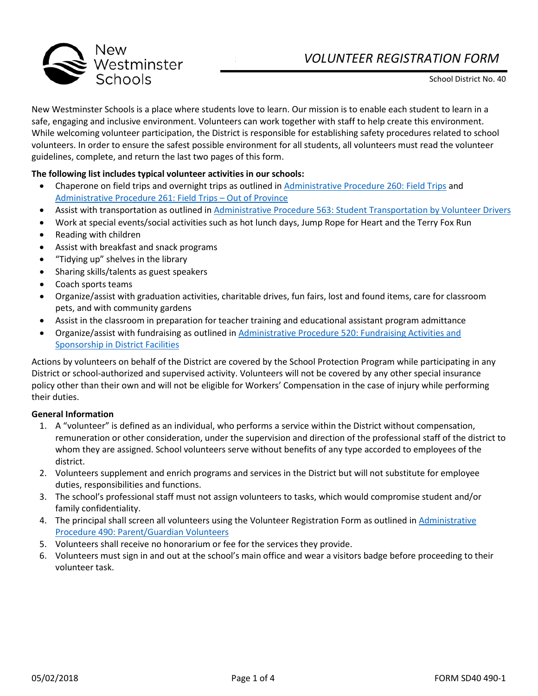



New Westminster Schools is a place where students love to learn. Our mission is to enable each student to learn in a safe, engaging and inclusive environment. Volunteers can work together with staff to help create this environment. While welcoming volunteer participation, the District is responsible for establishing safety procedures related to school volunteers. In order to ensure the safest possible environment for all students, all volunteers must read the volunteer guidelines, complete, and return the last two pages of this form.

## **The following list includes typical volunteer activities in our schools:**

- Chaperone on field trips and overnight trips as outlined i[n Administrative Procedure 260: Field Trips](https://newwestschools.ca/wp-content/uploads/2017/11/Field-Trips.pdf) and [Administrative Procedure 261: Field Trips –](https://newwestschools.ca/wp-content/uploads/2017/11/Field-Trips-Out-of-Province.pdf) Out of Province
- Assist with transportation as outlined i[n Administrative Procedure 563: Student Transportation by Volunteer Drivers](https://newwestschools.ca/wp-content/uploads/2017/11/Student-Transportation-By-Volunteer-Drivers.pdf)
- Work at special events/social activities such as hot lunch days, Jump Rope for Heart and the Terry Fox Run
- Reading with children
- Assist with breakfast and snack programs
- "Tidying up" shelves in the library
- Sharing skills/talents as guest speakers
- Coach sports teams
- Organize/assist with graduation activities, charitable drives, fun fairs, lost and found items, care for classroom pets, and with community gardens
- Assist in the classroom in preparation for teacher training and educational assistant program admittance
- Organize/assist with fundraising as outlined i[n Administrative Procedure 520: Fundraising Activities and](https://newwestschools.ca/wp-content/uploads/2017/11/Fundraising-Activities-and-Sponsorship-in-District-Facilities.pdf)  Sponsorship in [District Facilities](https://newwestschools.ca/wp-content/uploads/2017/11/Fundraising-Activities-and-Sponsorship-in-District-Facilities.pdf)

Actions by volunteers on behalf of the District are covered by the School Protection Program while participating in any District or school-authorized and supervised activity. Volunteers will not be covered by any other special insurance policy other than their own and will not be eligible for Workers' Compensation in the case of injury while performing their duties.

## **General Information**

- 1. A "volunteer" is defined as an individual, who performs a service within the District without compensation, remuneration or other consideration, under the supervision and direction of the professional staff of the district to whom they are assigned. School volunteers serve without benefits of any type accorded to employees of the district.
- 2. Volunteers supplement and enrich programs and services in the District but will not substitute for employee duties, responsibilities and functions.
- 3. The school's professional staff must not assign volunteers to tasks, which would compromise student and/or family confidentiality.
- 4. The principal shall screen all volunteers using the Volunteer Registration Form as outlined in [Administrative](https://newwestschools.ca/wp-content/uploads/2017/11/Parent-Guardian-Volunteers.pdf)  [Procedure 490: Parent/Guardian Volunteers](https://newwestschools.ca/wp-content/uploads/2017/11/Parent-Guardian-Volunteers.pdf)
- 5. Volunteers shall receive no honorarium or fee for the services they provide.
- 6. Volunteers must sign in and out at the school's main office and wear a visitors badge before proceeding to their volunteer task.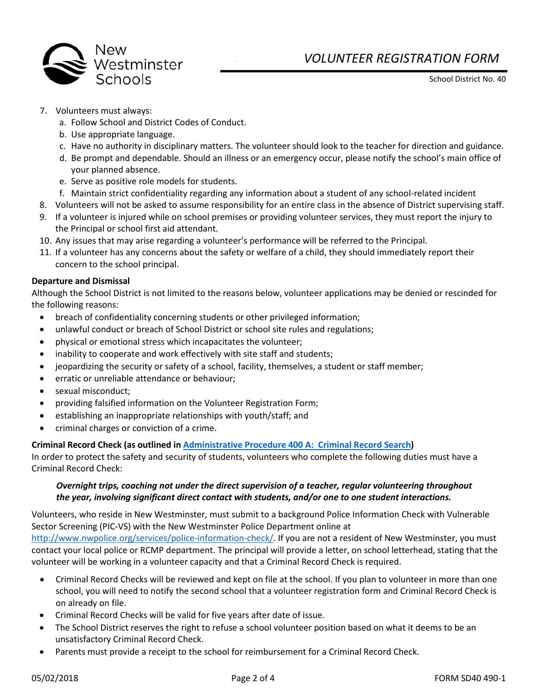

# *VOLUNTEER REGISTRATION FORM*

School District No. 40

- 7. Volunteers must always:
	- a. Follow School and District Codes of Conduct.
	- b. Use appropriate language.
	- c. Have no authority in disciplinary matters. The volunteer should look to the teacher for direction and guidance.
	- d. Be prompt and dependable. Should an illness or an emergency occur, please notify the school's main office of your planned absence.
	- e. Serve as positive role models for students.
	- f. Maintain strict confidentiality regarding any information about a student of any school-related incident
- 8. Volunteers will not be asked to assume responsibility for an entire class in the absence of District supervising staff.
- 9. If a volunteer is injured while on school premises or providing volunteer services, they must report the injury to the Principal or school first aid attendant.
- 10. Any issues that may arise regarding a volunteer's performance will be referred to the Principal.
- 11. If a volunteer has any concerns about the safety or welfare of a child, they should immediately report their concern to the school principal.

## **Departure and Dismissal**

Although the School District is not limited to the reasons below, volunteer applications may be denied or rescinded for the following reasons:

- breach of confidentiality concerning students or other privileged information;
- unlawful conduct or breach of School District or school site rules and regulations;
- physical or emotional stress which incapacitates the volunteer;
- inability to cooperate and work effectively with site staff and students;
- jeopardizing the security or safety of a school, facility, themselves, a student or staff member;
- erratic or unreliable attendance or behaviour;
- sexual misconduct;
- providing falsified information on the Volunteer Registration Form;
- establishing an inappropriate relationships with youth/staff; and
- criminal charges or conviction of a crime.

## **Criminal Record Check (as outlined i[n Administrative Procedure 400 A: Criminal Record Search\)](https://newwestschools.ca/wp-content/uploads/2017/11/Criminal-Record-Search.pdf)**

In order to protect the safety and security of students, volunteers who complete the following duties must have a Criminal Record Check:

## *Overnight trips, coaching not under the direct supervision of a teacher, regular volunteering throughout the year, involving significant direct contact with students, and/or one to one student interactions.*

Volunteers, who reside in New Westminster, must submit to a background Police Information Check with Vulnerable Sector Screening (PIC-VS) with the New Westminster Police Department online at

[http://www.nwpolice.org/services/police-information-check/.](http://www.nwpolice.org/services/police-information-check/) If you are not a resident of New Westminster, you must contact your local police or RCMP department. The principal will provide a letter, on school letterhead, stating that the volunteer will be working in a volunteer capacity and that a Criminal Record Check is required.

- Criminal Record Checks will be reviewed and kept on file at the school. If you plan to volunteer in more than one school, you will need to notify the second school that a volunteer registration form and Criminal Record Check is on already on file.
- Criminal Record Checks will be valid for five years after date of issue.
- The School District reserves the right to refuse a school volunteer position based on what it deems to be an unsatisfactory Criminal Record Check.
- Parents must provide a receipt to the school for reimbursement for a Criminal Record Check.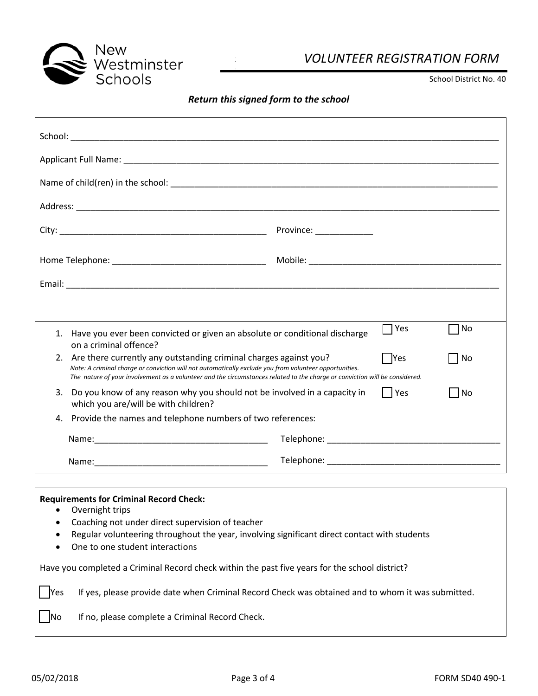

# *VOLUNTEER REGISTRATION FORM*

School District No. 40

## *Return this signed form to the school*

| Have you ever been convicted or given an absolute or conditional discharge<br>1.<br>on a criminal offence?                                                                                                                                                                                                    | $\Box$ Yes<br>No        |  |  |
|---------------------------------------------------------------------------------------------------------------------------------------------------------------------------------------------------------------------------------------------------------------------------------------------------------------|-------------------------|--|--|
| 2. Are there currently any outstanding criminal charges against you?<br>Note: A criminal charge or conviction will not automatically exclude you from volunteer opportunities.<br>The nature of your involvement as a volunteer and the circumstances related to the charge or conviction will be considered. | $\Box$ Yes<br>No        |  |  |
| Do you know of any reason why you should not be involved in a capacity in<br>3.<br>which you are/will be with children?                                                                                                                                                                                       | $\Box$ Yes<br><b>No</b> |  |  |
| Provide the names and telephone numbers of two references:<br>4.                                                                                                                                                                                                                                              |                         |  |  |
|                                                                                                                                                                                                                                                                                                               |                         |  |  |
|                                                                                                                                                                                                                                                                                                               |                         |  |  |

## **Requirements for Criminal Record Check:**

- Overnight trips
- Coaching not under direct supervision of teacher
- Regular volunteering throughout the year, involving significant direct contact with students
- One to one student interactions

Have you completed a Criminal Record check within the past five years for the school district?

☐ Yes If yes, please provide date when Criminal Record Check was obtained and to whom it was submitted.

No If no, please complete a Criminal Record Check.